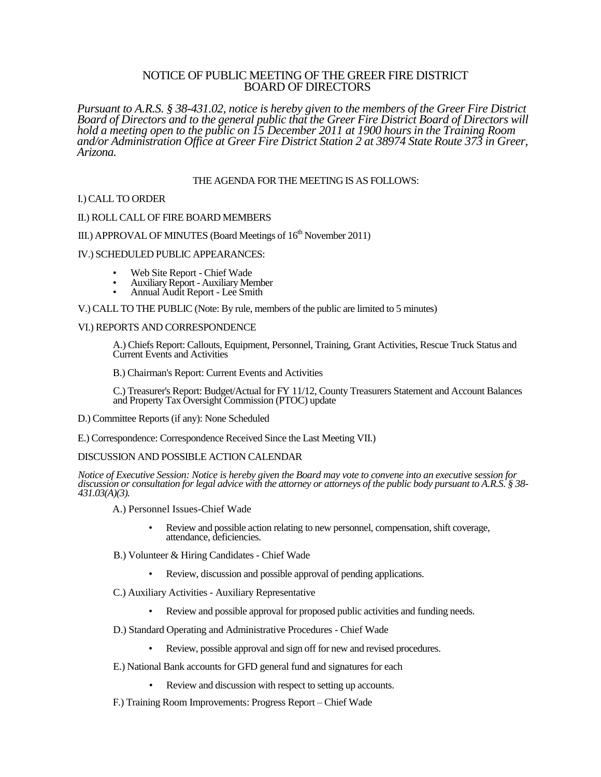# NOTICE OF PUBLIC MEETING OF THE GREER FIRE DISTRICT BOARD OF DIRECTORS

*Pursuant to A.R.S. § 38-431.02, notice is hereby given to the members of the Greer Fire District Board of Directors and to the general public that the Greer Fire District Board of Directors will hold a meeting open to the public on 15 December 2011 at 1900 hours in the Training Room and/or Administration Office at Greer Fire District Station 2 at 38974 State Route 373 in Greer, Arizona.*

# THE AGENDA FOR THE MEETING IS AS FOLLOWS:

## I.) CALL TO ORDER

### II.) ROLL CALL OF FIRE BOARD MEMBERS

# III.) APPROVAL OF MINUTES (Board Meetings of  $16<sup>th</sup>$  November 2011)

### IV.) SCHEDULED PUBLIC APPEARANCES:

- Web Site Report Chief Wade
- Auxiliary Report Auxiliary Member
- Annual Audit Report Lee Smith

V.) CALL TO THE PUBLIC (Note: By rule, members of the public are limited to 5 minutes)

### VI.) REPORTS AND CORRESPONDENCE

A.) Chiefs Report: Callouts, Equipment, Personnel, Training, Grant Activities, Rescue Truck Status and Current Events and Activities

B.) Chairman's Report: Current Events and Activities

C.) Treasurer's Report: Budget/Actual for FY 11/12, County Treasurers Statement and Account Balances and Property Tax Oversight Commission (PTOC) update

- D.) Committee Reports (if any): None Scheduled
- E.) Correspondence: Correspondence Received Since the Last Meeting VII.)

# DISCUSSION AND POSSIBLE ACTION CALENDAR

*Notice of Executive Session: Notice is hereby given the Board may vote to convene into an executive session for discussion or consultation for legal advice with the attorney or attorneys of the public body pursuant to A.R.S. § 38- 431.03(A)(3).*

A.) Personnel Issues-Chief Wade

- Review and possible action relating to new personnel, compensation, shift coverage, attendance, deficiencies.
- B.) Volunteer & Hiring Candidates Chief Wade
	- Review, discussion and possible approval of pending applications.
- C.) Auxiliary Activities Auxiliary Representative
	- Review and possible approval for proposed public activities and funding needs.
- D.) Standard Operating and Administrative Procedures Chief Wade
	- Review, possible approval and sign off for new and revised procedures.
- E.) National Bank accounts for GFD general fund and signatures for each
	- Review and discussion with respect to setting up accounts.
- F.) Training Room Improvements: Progress Report Chief Wade